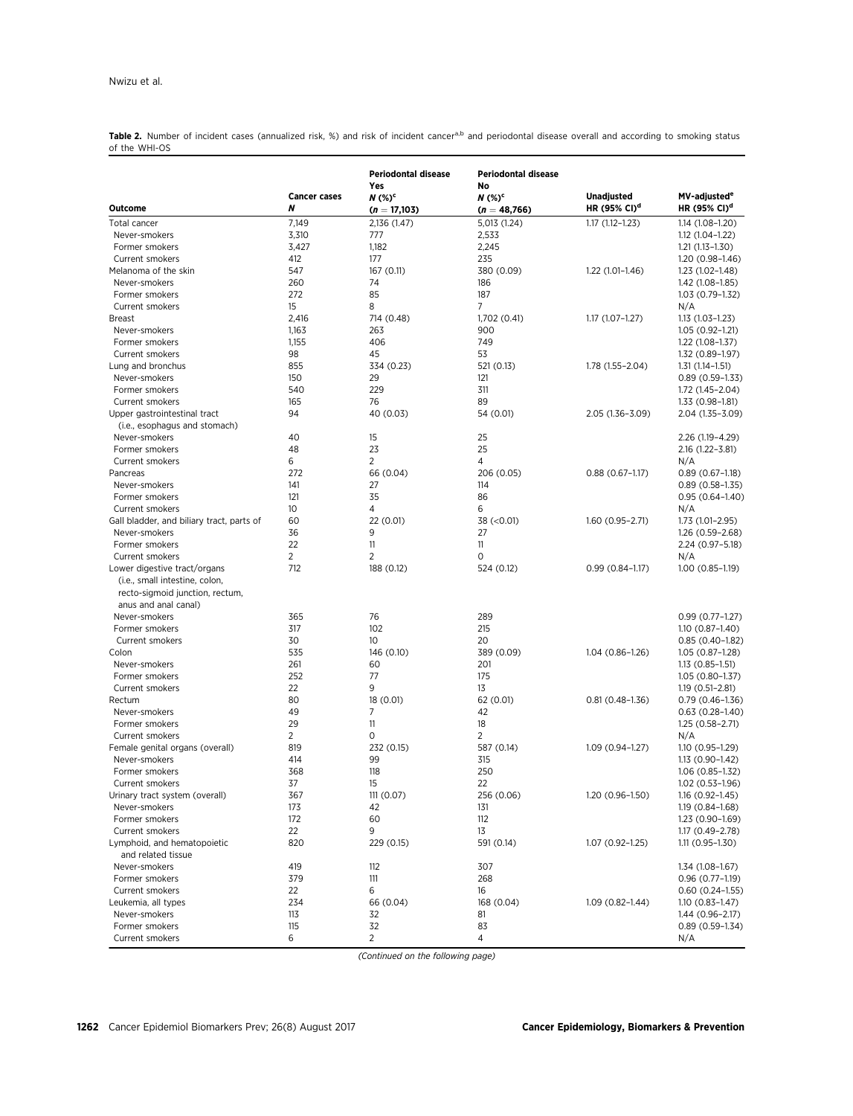Table 2. Number of incident cases (annualized risk, %) and risk of incident cancer<sup>a,b</sup> and periodontal disease overall and according to smoking status of the WHI-OS

|                                                                                           | <b>Cancer cases</b> | <b>Periodontal disease</b><br>Yes<br>$N$ (%) <sup>c</sup> | <b>Periodontal disease</b><br>No<br>$N$ (%) <sup>c</sup> | <b>Unadjusted</b>        | MV-adjusted <sup>e</sup>                 |
|-------------------------------------------------------------------------------------------|---------------------|-----------------------------------------------------------|----------------------------------------------------------|--------------------------|------------------------------------------|
| Outcome                                                                                   | N                   | $(n = 17,103)$                                            | $(n = 48,766)$                                           | HR (95% CI) <sup>d</sup> | HR (95% CI) <sup>d</sup>                 |
| Total cancer                                                                              | 7,149               | 2,136 (1.47)                                              | 5,013 (1.24)                                             | $1.17(1.12 - 1.23)$      | 1.14 (1.08-1.20)                         |
| Never-smokers                                                                             | 3,310               | 777                                                       | 2,533                                                    |                          | $1.12(1.04 - 1.22)$                      |
| Former smokers                                                                            | 3,427               | 1,182                                                     | 2,245                                                    |                          | $1.21(1.13 - 1.30)$                      |
| Current smokers                                                                           | 412                 | 177                                                       | 235                                                      |                          | $1.20(0.98 - 1.46)$                      |
| Melanoma of the skin                                                                      | 547                 | 167 (0.11)                                                | 380 (0.09)                                               | $1.22(1.01-1.46)$        | 1.23 (1.02-1.48)                         |
| Never-smokers                                                                             | 260                 | 74                                                        | 186                                                      |                          | 1.42 (1.08-1.85)                         |
| Former smokers                                                                            | 272                 | 85                                                        | 187                                                      |                          | 1.03 (0.79-1.32)                         |
| Current smokers                                                                           | 15                  | 8                                                         | 7                                                        |                          | N/A                                      |
| <b>Breast</b>                                                                             | 2,416               | 714 (0.48)                                                | 1,702 (0.41)                                             | $1.17(1.07 - 1.27)$      | 1.13 (1.03-1.23)                         |
| Never-smokers                                                                             | 1,163               | 263                                                       | 900                                                      |                          | 1.05 (0.92-1.21)                         |
| Former smokers                                                                            | 1,155               | 406                                                       | 749                                                      |                          | $1.22(1.08-1.37)$                        |
| Current smokers                                                                           | 98                  | 45                                                        | 53                                                       |                          | 1.32 (0.89-1.97)                         |
| Lung and bronchus<br>Never-smokers                                                        | 855<br>150          | 334 (0.23)<br>29                                          | 521 (0.13)<br>121                                        | 1.78 (1.55-2.04)         | $1.31(1.14-1.51)$                        |
| Former smokers                                                                            | 540                 | 229                                                       | 311                                                      |                          | $0.89(0.59-1.33)$<br>1.72 (1.45-2.04)    |
| Current smokers                                                                           | 165                 | 76                                                        | 89                                                       |                          | 1.33 (0.98-1.81)                         |
| Upper gastrointestinal tract                                                              | 94                  | 40 (0.03)                                                 | 54 (0.01)                                                | 2.05 (1.36-3.09)         | 2.04 (1.35-3.09)                         |
| (i.e., esophagus and stomach)                                                             |                     |                                                           |                                                          |                          |                                          |
| Never-smokers                                                                             | 40                  | 15                                                        | 25                                                       |                          | 2.26 (1.19-4.29)                         |
| Former smokers                                                                            | 48                  | 23                                                        | 25                                                       |                          | 2.16 (1.22-3.81)                         |
| Current smokers                                                                           | 6<br>272            | $\overline{2}$                                            | 4                                                        |                          | N/A                                      |
| Pancreas<br>Never-smokers                                                                 | 141                 | 66 (0.04)<br>27                                           | 206 (0.05)<br>114                                        | $0.88(0.67-1.17)$        | $0.89(0.67-1.18)$                        |
| Former smokers                                                                            | 121                 | 35                                                        | 86                                                       |                          | $0.89(0.58-1.35)$<br>$0.95(0.64 - 1.40)$ |
| Current smokers                                                                           | 10 <sup>°</sup>     | 4                                                         | 6                                                        |                          | N/A                                      |
| Gall bladder, and biliary tract, parts of                                                 | 60                  | 22 (0.01)                                                 | 38 (< 0.01)                                              | 1.60 (0.95-2.71)         | 1.73 (1.01-2.95)                         |
| Never-smokers                                                                             | 36                  | 9                                                         | 27                                                       |                          | 1.26 (0.59-2.68)                         |
| Former smokers                                                                            | 22                  | 11                                                        | 11                                                       |                          | 2.24 (0.97-5.18)                         |
| <b>Current smokers</b>                                                                    | $\overline{2}$      | $\overline{2}$                                            | 0                                                        |                          | N/A                                      |
| Lower digestive tract/organs                                                              | 712                 | 188 (0.12)                                                | 524 (0.12)                                               | $0.99(0.84 - 1.17)$      | $1.00(0.85-1.19)$                        |
| (i.e., small intestine, colon,<br>recto-sigmoid junction, rectum,<br>anus and anal canal) |                     |                                                           |                                                          |                          |                                          |
| Never-smokers                                                                             | 365                 | 76                                                        | 289                                                      |                          | $0.99(0.77 - 1.27)$                      |
| Former smokers                                                                            | 317                 | 102                                                       | 215                                                      |                          | $1.10(0.87 - 1.40)$                      |
| <b>Current smokers</b>                                                                    | 30                  | 10 <sup>°</sup>                                           | 20                                                       |                          | $0.85(0.40-1.82)$                        |
| Colon                                                                                     | 535                 | 146 (0.10)                                                | 389 (0.09)                                               | $1.04(0.86 - 1.26)$      | 1.05 (0.87-1.28)                         |
| Never-smokers                                                                             | 261                 | 60                                                        | 201                                                      |                          | $1.13(0.85-1.51)$                        |
| Former smokers                                                                            | 252                 | 77                                                        | 175                                                      |                          | 1.05 (0.80-1.37)                         |
| Current smokers                                                                           | 22                  | 9                                                         | 13                                                       |                          | $1.19(0.51 - 2.81)$                      |
| Rectum                                                                                    | 80                  | 18 (0.01)                                                 | 62 (0.01)                                                | $0.81(0.48 - 1.36)$      | $0.79(0.46 - 1.36)$                      |
| Never-smokers                                                                             | 49                  | 7                                                         | 42                                                       |                          | $0.63(0.28 - 1.40)$                      |
| Former smokers                                                                            | 29                  | 11                                                        | 18                                                       |                          | $1.25(0.58-2.71)$                        |
| Current smokers                                                                           | 2                   | 0                                                         | 2                                                        |                          | N/A                                      |
| Female genital organs (overall)                                                           | 819                 | 232 (0.15)                                                | 587 (0.14)                                               | $1.09(0.94 - 1.27)$      | 1.10 (0.95-1.29)                         |
| Never-smokers                                                                             | 414                 | 99                                                        | 315                                                      |                          | 1.13 (0.90–1.42)                         |
| Former smokers                                                                            | 368                 | 118                                                       | 250                                                      |                          | 1.06 (0.85-1.32)                         |
| Current smokers                                                                           | 37                  | 15                                                        | 22                                                       |                          | $1.02(0.53 - 1.96)$                      |
| Urinary tract system (overall)                                                            | 367                 | 111 (0.07)                                                | 256 (0.06)                                               | 1.20 (0.96-1.50)         | $1.16(0.92 - 1.45)$                      |
| Never-smokers                                                                             | 173                 | 42                                                        | 131                                                      |                          | 1.19 (0.84-1.68)                         |
| Former smokers                                                                            | 172                 | 60                                                        | 112                                                      |                          | 1.23 (0.90-1.69)                         |
| Current smokers                                                                           | 22                  | 9                                                         | 13                                                       |                          | 1.17 (0.49-2.78)                         |
| Lymphoid, and hematopoietic<br>and related tissue                                         | 820                 | 229 (0.15)                                                | 591 (0.14)                                               | 1.07 (0.92-1.25)         | $1.11(0.95 - 1.30)$                      |
| Never-smokers                                                                             | 419                 | 112                                                       | 307                                                      |                          | 1.34 (1.08-1.67)                         |
| Former smokers                                                                            | 379                 | 111                                                       | 268                                                      |                          | $0.96(0.77 - 1.19)$                      |
| Current smokers                                                                           | 22                  | 6                                                         | 16                                                       |                          | $0.60(0.24 - 1.55)$                      |
| Leukemia, all types                                                                       | 234                 | 66 (0.04)                                                 | 168 (0.04)                                               | $1.09(0.82 - 1.44)$      | $1.10(0.83 - 1.47)$                      |
| Never-smokers                                                                             | 113                 | 32                                                        | 81                                                       |                          | 1.44 (0.96-2.17)                         |
| Former smokers                                                                            | 115                 | 32                                                        | 83                                                       |                          | $0.89(0.59-1.34)$                        |
| Current smokers                                                                           | 6                   | $\overline{2}$                                            | 4                                                        |                          | N/A                                      |

(Continued on the following page)

1262 Cancer Epidemiol Biomarkers Prev; 26(8) August 2017 Cancer Epidemiology, Biomarkers & Prevention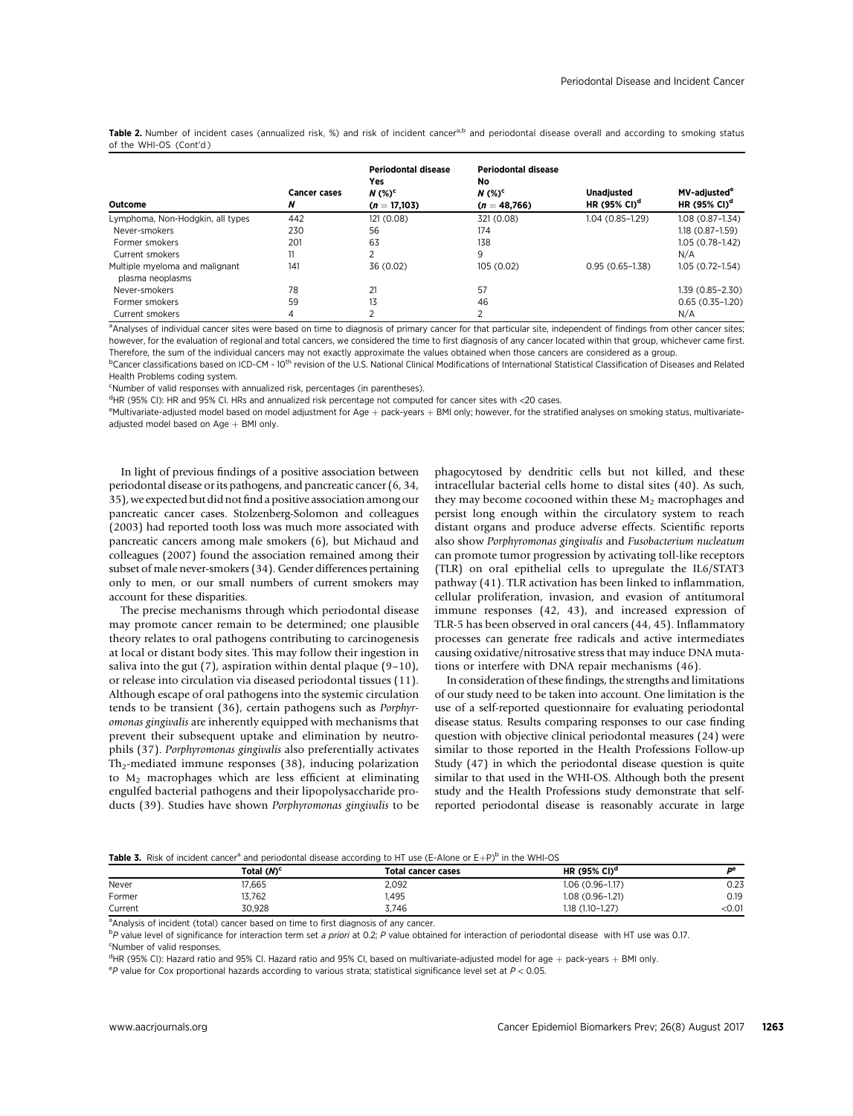Table 2. Number of incident cases (annualized risk, %) and risk of incident cancera,b and periodontal disease overall and according to smoking status of the WHI-OS (Cont'd )

| Outcome                                            | <b>Cancer cases</b><br>N | <b>Periodontal disease</b><br>Yes<br>$N$ (%) <sup>c</sup><br>$(n = 17,103)$ | <b>Periodontal disease</b><br>No<br>$N$ (%) <sup>c</sup><br>$(n = 48,766)$ | <b>Unadiusted</b><br>HR (95% CI) <sup>d</sup> | MV-adiusted <sup>e</sup><br>HR (95% CI) <sup>d</sup> |
|----------------------------------------------------|--------------------------|-----------------------------------------------------------------------------|----------------------------------------------------------------------------|-----------------------------------------------|------------------------------------------------------|
| Lymphoma, Non-Hodgkin, all types                   | 442                      | 121(0.08)                                                                   | 321 (0.08)                                                                 | 1.04 (0.85-1.29)                              | $1.08(0.87 - 1.34)$                                  |
| Never-smokers                                      | 230                      | 56                                                                          | 174                                                                        |                                               | $1.18(0.87 - 1.59)$                                  |
| Former smokers                                     | 201                      | 63                                                                          | 138                                                                        |                                               | $1.05(0.78 - 1.42)$                                  |
| Current smokers                                    |                          | ∍                                                                           | 9                                                                          |                                               | N/A                                                  |
| Multiple myeloma and malignant<br>plasma neoplasms | 141                      | 36 (0.02)                                                                   | 105 (0.02)                                                                 | $0.95(0.65 - 1.38)$                           | $1.05(0.72 - 1.54)$                                  |
| Never-smokers                                      | 78                       | 21                                                                          | 57                                                                         |                                               | 1.39 (0.85-2.30)                                     |
| Former smokers                                     | 59                       | 13                                                                          | 46                                                                         |                                               | $0.65(0.35-1.20)$                                    |
| Current smokers                                    | 4                        |                                                                             |                                                                            |                                               | N/A                                                  |

<sup>a</sup>Analyses of individual cancer sites were based on time to diagnosis of primary cancer for that particular site, independent of findings from other cancer sites; however, for the evaluation of regional and total cancers, we considered the time to first diagnosis of any cancer located within that group, whichever came first. Therefore, the sum of the individual cancers may not exactly approximate the values obtained when those cancers are considered as a group.

<sup>b</sup>Cancer classifications based on ICD-CM - 10<sup>th</sup> revision of the U.S. National Clinical Modifications of International Statistical Classification of Diseases and Related Health Problems coding system.

<sup>c</sup>Number of valid responses with annualized risk, percentages (in parentheses).

<sup>d</sup>HR (95% CI): HR and 95% CI. HRs and annualized risk percentage not computed for cancer sites with <20 cases.

<sup>e</sup>Multivariate-adjusted model based on model adjustment for Age + pack-years + BMI only; however, for the stratified analyses on smoking status, multivariateadjusted model based on  $Age + BMI$  only.

In light of previous findings of a positive association between periodontal disease or its pathogens, and pancreatic cancer (6, 34, 35), we expected but did not find a positive association among our pancreatic cancer cases. Stolzenberg-Solomon and colleagues (2003) had reported tooth loss was much more associated with pancreatic cancers among male smokers (6), but Michaud and colleagues (2007) found the association remained among their subset of male never-smokers (34). Gender differences pertaining only to men, or our small numbers of current smokers may account for these disparities.

The precise mechanisms through which periodontal disease may promote cancer remain to be determined; one plausible theory relates to oral pathogens contributing to carcinogenesis at local or distant body sites. This may follow their ingestion in saliva into the gut (7), aspiration within dental plaque (9-10), or release into circulation via diseased periodontal tissues (11). Although escape of oral pathogens into the systemic circulation tends to be transient (36), certain pathogens such as Porphyromonas gingivalis are inherently equipped with mechanisms that prevent their subsequent uptake and elimination by neutrophils (37). Porphyromonas gingivalis also preferentially activates Th<sub>2</sub>-mediated immune responses (38), inducing polarization to  $M_2$  macrophages which are less efficient at eliminating engulfed bacterial pathogens and their lipopolysaccharide products (39). Studies have shown Porphyromonas gingivalis to be phagocytosed by dendritic cells but not killed, and these intracellular bacterial cells home to distal sites (40). As such, they may become cocooned within these  $M_2$  macrophages and persist long enough within the circulatory system to reach distant organs and produce adverse effects. Scientific reports also show Porphyromonas gingivalis and Fusobacterium nucleatum can promote tumor progression by activating toll-like receptors (TLR) on oral epithelial cells to upregulate the IL6/STAT3 pathway (41). TLR activation has been linked to inflammation, cellular proliferation, invasion, and evasion of antitumoral immune responses (42, 43), and increased expression of TLR-5 has been observed in oral cancers (44, 45). Inflammatory processes can generate free radicals and active intermediates causing oxidative/nitrosative stress that may induce DNA mutations or interfere with DNA repair mechanisms (46).

In consideration of these findings, the strengths and limitations of our study need to be taken into account. One limitation is the use of a self-reported questionnaire for evaluating periodontal disease status. Results comparing responses to our case finding question with objective clinical periodontal measures (24) were similar to those reported in the Health Professions Follow-up Study (47) in which the periodontal disease question is quite similar to that used in the WHI-OS. Although both the present study and the Health Professions study demonstrate that selfreported periodontal disease is reasonably accurate in large

# Table 3. Risk of incident cancer<sup>a</sup> and periodontal disease according to HT use (E-Alone or E+P)<sup>b</sup> in the WHI-OS

|         | Total (M) <sup>c</sup> | <b>Total cancer cases</b> | HR (95% CI) <sup>d</sup> | љe     |
|---------|------------------------|---------------------------|--------------------------|--------|
| Never   | 17,665                 | 2,092                     | 1.06 (0.96-1.17)         | 0.23   |
| Former  | 13,762                 | ,495                      | 1.08 (0.96-1.21)         | 0.19   |
| Current | 30.928                 | 3,746                     | 1.18 (1.10-1.27)         | < 0.01 |

<sup>a</sup>Analysis of incident (total) cancer based on time to first diagnosis of any cancer.

<sup>b</sup>P value level of significance for interaction term set a priori at 0.2; P value obtained for interaction of periodontal disease with HT use was 0.17. <sup>c</sup>Number of valid responses.

<sup>d</sup>HR (95% CI): Hazard ratio and 95% CI. Hazard ratio and 95% CI, based on multivariate-adjusted model for age + pack-years + BMI only.<br><sup>e</sup> Packing for Cax proportional bazards according to various state inatifical signifi

 $e$ P value for Cox proportional hazards according to various strata; statistical significance level set at  $P < 0.05$ .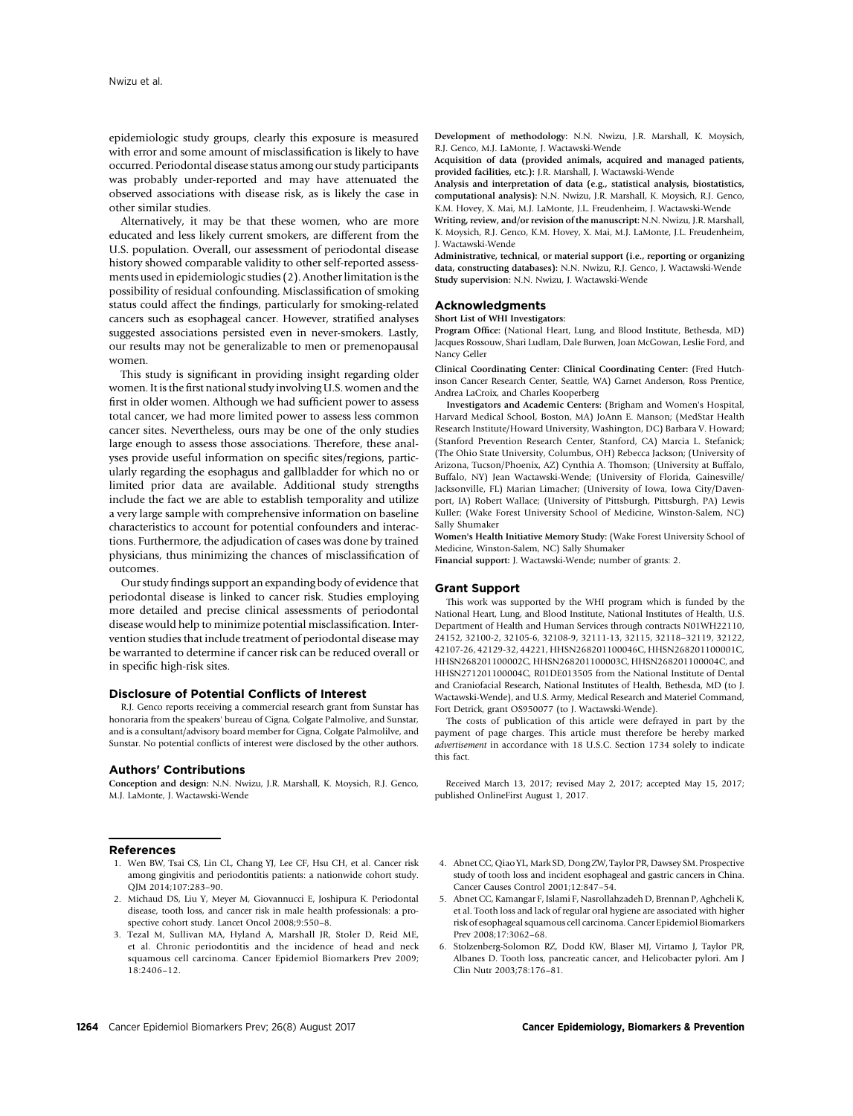epidemiologic study groups, clearly this exposure is measured with error and some amount of misclassification is likely to have occurred. Periodontal disease status among our study participants was probably under-reported and may have attenuated the observed associations with disease risk, as is likely the case in other similar studies.

Alternatively, it may be that these women, who are more educated and less likely current smokers, are different from the U.S. population. Overall, our assessment of periodontal disease history showed comparable validity to other self-reported assessments used in epidemiologic studies (2). Another limitation is the possibility of residual confounding. Misclassification of smoking status could affect the findings, particularly for smoking-related cancers such as esophageal cancer. However, stratified analyses suggested associations persisted even in never-smokers. Lastly, our results may not be generalizable to men or premenopausal women.

This study is significant in providing insight regarding older women. It is the first national study involving U.S. women and the first in older women. Although we had sufficient power to assess total cancer, we had more limited power to assess less common cancer sites. Nevertheless, ours may be one of the only studies large enough to assess those associations. Therefore, these analyses provide useful information on specific sites/regions, particularly regarding the esophagus and gallbladder for which no or limited prior data are available. Additional study strengths include the fact we are able to establish temporality and utilize a very large sample with comprehensive information on baseline characteristics to account for potential confounders and interactions. Furthermore, the adjudication of cases was done by trained physicians, thus minimizing the chances of misclassification of outcomes.

Our study findings support an expanding body of evidence that periodontal disease is linked to cancer risk. Studies employing more detailed and precise clinical assessments of periodontal disease would help to minimize potential misclassification. Intervention studies that include treatment of periodontal disease may be warranted to determine if cancer risk can be reduced overall or in specific high-risk sites.

## Disclosure of Potential Conflicts of Interest

R.J. Genco reports receiving a commercial research grant from Sunstar has honoraria from the speakers' bureau of Cigna, Colgate Palmolive, and Sunstar, and is a consultant/advisory board member for Cigna, Colgate Palmolilve, and Sunstar. No potential conflicts of interest were disclosed by the other authors.

#### Authors' Contributions

Conception and design: N.N. Nwizu, J.R. Marshall, K. Moysich, R.J. Genco, M.J. LaMonte, J. Wactawski-Wende

## References

- 1. Wen BW, Tsai CS, Lin CL, Chang YJ, Lee CF, Hsu CH, et al. Cancer risk among gingivitis and periodontitis patients: a nationwide cohort study. QJM 2014;107:283–90.
- 2. Michaud DS, Liu Y, Meyer M, Giovannucci E, Joshipura K. Periodontal disease, tooth loss, and cancer risk in male health professionals: a prospective cohort study. Lancet Oncol 2008;9:550–8.
- 3. Tezal M, Sullivan MA, Hyland A, Marshall JR, Stoler D, Reid ME, et al. Chronic periodontitis and the incidence of head and neck squamous cell carcinoma. Cancer Epidemiol Biomarkers Prev 2009; 18:2406–12.

Development of methodology: N.N. Nwizu, J.R. Marshall, K. Moysich, R.J. Genco, M.J. LaMonte, J. Wactawski-Wende

Acquisition of data (provided animals, acquired and managed patients, provided facilities, etc.): J.R. Marshall, J. Wactawski-Wende

Analysis and interpretation of data (e.g., statistical analysis, biostatistics, computational analysis): N.N. Nwizu, J.R. Marshall, K. Moysich, R.J. Genco, K.M. Hovey, X. Mai, M.J. LaMonte, J.L. Freudenheim, J. Wactawski-Wende

Writing, review, and/or revision of the manuscript: N.N. Nwizu, J.R. Marshall, K. Moysich, R.J. Genco, K.M. Hovey, X. Mai, M.J. LaMonte, J.L. Freudenheim, J. Wactawski-Wende

Administrative, technical, or material support (i.e., reporting or organizing data, constructing databases): N.N. Nwizu, R.J. Genco, J. Wactawski-Wende Study supervision: N.N. Nwizu, J. Wactawski-Wende

## **Acknowledaments**

#### Short List of WHI Investigators:

Program Office: (National Heart, Lung, and Blood Institute, Bethesda, MD) Jacques Rossouw, Shari Ludlam, Dale Burwen, Joan McGowan, Leslie Ford, and Nancy Geller

Clinical Coordinating Center: Clinical Coordinating Center: (Fred Hutchinson Cancer Research Center, Seattle, WA) Garnet Anderson, Ross Prentice, Andrea LaCroix, and Charles Kooperberg

Investigators and Academic Centers: (Brigham and Women's Hospital, Harvard Medical School, Boston, MA) JoAnn E. Manson; (MedStar Health Research Institute/Howard University, Washington, DC) Barbara V. Howard; (Stanford Prevention Research Center, Stanford, CA) Marcia L. Stefanick; (The Ohio State University, Columbus, OH) Rebecca Jackson; (University of Arizona, Tucson/Phoenix, AZ) Cynthia A. Thomson; (University at Buffalo, Buffalo, NY) Jean Wactawski-Wende; (University of Florida, Gainesville/ Jacksonville, FL) Marian Limacher; (University of Iowa, Iowa City/Davenport, IA) Robert Wallace; (University of Pittsburgh, Pittsburgh, PA) Lewis Kuller; (Wake Forest University School of Medicine, Winston-Salem, NC) Sally Shumaker

Women's Health Initiative Memory Study: (Wake Forest University School of Medicine, Winston-Salem, NC) Sally Shumaker

Financial support: J. Wactawski-Wende; number of grants: 2.

#### Grant Support

This work was supported by the WHI program which is funded by the National Heart, Lung, and Blood Institute, National Institutes of Health, U.S. Department of Health and Human Services through contracts N01WH22110, 24152, 32100-2, 32105-6, 32108-9, 32111-13, 32115, 32118–32119, 32122, 42107-26, 42129-32, 44221, HHSN268201100046C, HHSN268201100001C, HHSN268201100002C, HHSN268201100003C, HHSN268201100004C, and HHSN271201100004C, R01DE013505 from the National Institute of Dental and Craniofacial Research, National Institutes of Health, Bethesda, MD (to J. Wactawski-Wende), and U.S. Army, Medical Research and Materiel Command, Fort Detrick, grant OS950077 (to J. Wactawski-Wende).

The costs of publication of this article were defrayed in part by the payment of page charges. This article must therefore be hereby marked advertisement in accordance with 18 U.S.C. Section 1734 solely to indicate this fact.

Received March 13, 2017; revised May 2, 2017; accepted May 15, 2017; published OnlineFirst August 1, 2017.

- 4. Abnet CC, Qiao YL, Mark SD, Dong ZW, Taylor PR, Dawsey SM. Prospective study of tooth loss and incident esophageal and gastric cancers in China. Cancer Causes Control 2001;12:847–54.
- 5. Abnet CC, Kamangar F, Islami F, Nasrollahzadeh D, Brennan P, Aghcheli K, et al. Tooth loss and lack of regular oral hygiene are associated with higher risk of esophageal squamous cell carcinoma. Cancer Epidemiol Biomarkers Prev 2008;17:3062–68.
- 6. Stolzenberg-Solomon RZ, Dodd KW, Blaser MJ, Virtamo J, Taylor PR, Albanes D. Tooth loss, pancreatic cancer, and Helicobacter pylori. Am J Clin Nutr 2003;78:176–81.
- 1264 Cancer Epidemiol Biomarkers Prev; 26(8) August 2017 Cancer Epidemiology, Biomarkers & Prevention